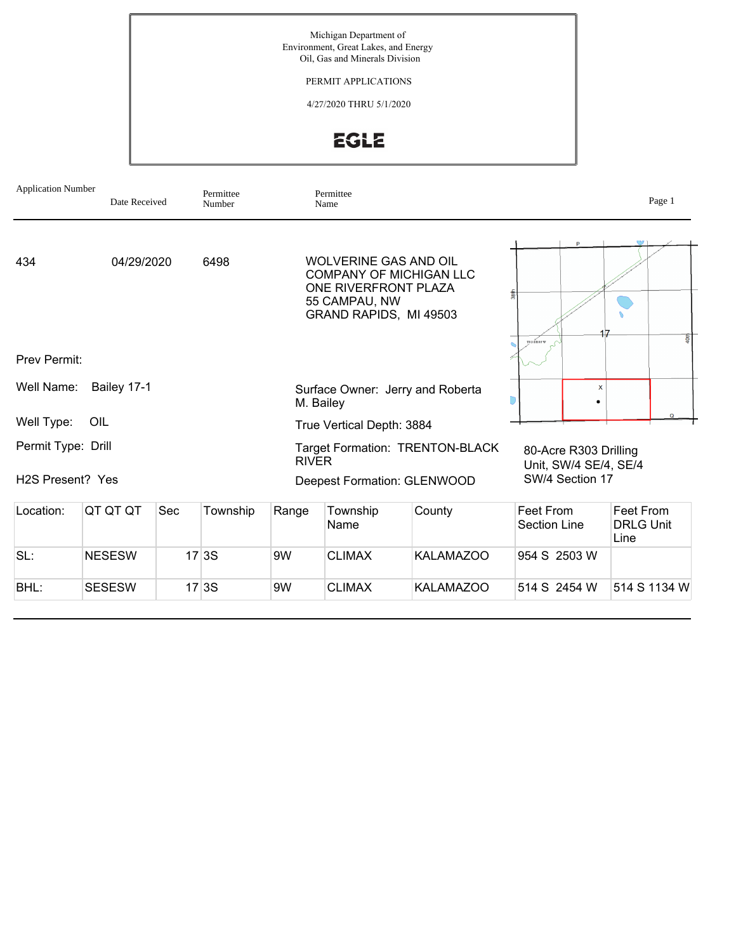Michigan Department of Environment, Great Lakes, and Energy Oil, Gas and Minerals Division

PERMIT APPLICATIONS

4/27/2020 THRU 5/1/2020

## EGLE

| <b>Application Number</b><br>Permittee<br>Date Received<br>Number |               |     | Permittee<br>Name |              |                                                                                                 |                                  | Page 1                                         |                                       |  |
|-------------------------------------------------------------------|---------------|-----|-------------------|--------------|-------------------------------------------------------------------------------------------------|----------------------------------|------------------------------------------------|---------------------------------------|--|
| 434                                                               | 04/29/2020    |     | 6498              |              | <b>WOLVERINE GAS AND OIL</b><br>ONE RIVERFRONT PLAZA<br>55 CAMPAU, NW<br>GRAND RAPIDS, MI 49503 | <b>COMPANY OF MICHIGAN LLC</b>   | 38th<br>TO 3 SROP W                            | \$                                    |  |
| Prev Permit:                                                      |               |     |                   |              |                                                                                                 |                                  |                                                |                                       |  |
| Well Name:<br>Bailey 17-1                                         |               |     |                   |              | M. Bailey                                                                                       | Surface Owner: Jerry and Roberta | $\boldsymbol{\mathsf{x}}$                      |                                       |  |
| Well Type:                                                        | OIL           |     |                   |              | True Vertical Depth: 3884                                                                       |                                  |                                                | $\Omega$                              |  |
| Permit Type: Drill                                                |               |     |                   | <b>RIVER</b> |                                                                                                 | Target Formation: TRENTON-BLACK  | 80-Acre R303 Drilling<br>Unit, SW/4 SE/4, SE/4 |                                       |  |
| H <sub>2</sub> S Present? Yes                                     |               |     |                   |              |                                                                                                 | Deepest Formation: GLENWOOD      | SW/4 Section 17                                |                                       |  |
| Location:                                                         | QT QT QT      | Sec | Township          | Range        | Township<br>Name                                                                                | County                           | Feet From<br>Section Line                      | Feet From<br><b>DRLG Unit</b><br>Line |  |
| SL:                                                               | <b>NESESW</b> |     | 17 3S             | 9W           | <b>CLIMAX</b>                                                                                   | <b>KALAMAZOO</b>                 | 954 S 2503 W                                   |                                       |  |
| BHL:                                                              | <b>SESESW</b> |     | 17 3S             | 9W           | <b>CLIMAX</b>                                                                                   | <b>KALAMAZOO</b>                 | 514 S 2454 W                                   | 514 S 1134 W                          |  |